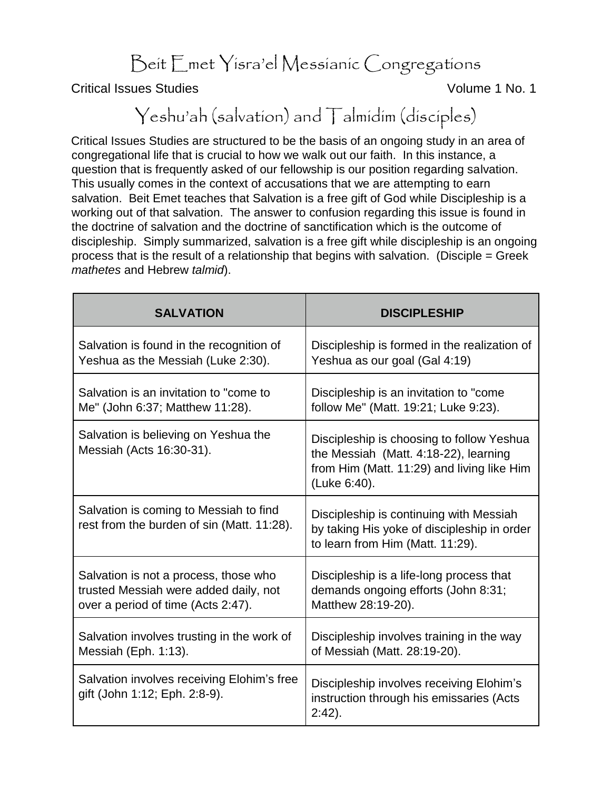Beit Emet Yisra'el Messianic Congregations

Critical Issues Studies Volume 1 No. 1

## Yeshu'ah (salvation) and Talmidim (disciples)

Critical Issues Studies are structured to be the basis of an ongoing study in an area of congregational life that is crucial to how we walk out our faith. In this instance, a question that is frequently asked of our fellowship is our position regarding salvation. This usually comes in the context of accusations that we are attempting to earn salvation. Beit Emet teaches that Salvation is a free gift of God while Discipleship is a working out of that salvation. The answer to confusion regarding this issue is found in the doctrine of salvation and the doctrine of sanctification which is the outcome of discipleship. Simply summarized, salvation is a free gift while discipleship is an ongoing process that is the result of a relationship that begins with salvation. (Disciple = Greek *mathetes* and Hebrew *talmid*).

| <b>SALVATION</b>                                                                     | <b>DISCIPLESHIP</b>                                                                                                                              |
|--------------------------------------------------------------------------------------|--------------------------------------------------------------------------------------------------------------------------------------------------|
| Salvation is found in the recognition of                                             | Discipleship is formed in the realization of                                                                                                     |
| Yeshua as the Messiah (Luke 2:30).                                                   | Yeshua as our goal (Gal 4:19)                                                                                                                    |
| Salvation is an invitation to "come to                                               | Discipleship is an invitation to "come"                                                                                                          |
| Me" (John 6:37; Matthew 11:28).                                                      | follow Me" (Matt. 19:21; Luke 9:23).                                                                                                             |
| Salvation is believing on Yeshua the<br>Messiah (Acts 16:30-31).                     | Discipleship is choosing to follow Yeshua<br>the Messiah (Matt. 4:18-22), learning<br>from Him (Matt. 11:29) and living like Him<br>(Luke 6:40). |
| Salvation is coming to Messiah to find<br>rest from the burden of sin (Matt. 11:28). | Discipleship is continuing with Messiah<br>by taking His yoke of discipleship in order<br>to learn from Him (Matt. 11:29).                       |
| Salvation is not a process, those who                                                | Discipleship is a life-long process that                                                                                                         |
| trusted Messiah were added daily, not                                                | demands ongoing efforts (John 8:31;                                                                                                              |
| over a period of time (Acts 2:47).                                                   | Matthew 28:19-20).                                                                                                                               |
| Salvation involves trusting in the work of                                           | Discipleship involves training in the way                                                                                                        |
| Messiah (Eph. 1:13).                                                                 | of Messiah (Matt. 28:19-20).                                                                                                                     |
| Salvation involves receiving Elohim's free<br>gift (John 1:12; Eph. 2:8-9).          | Discipleship involves receiving Elohim's<br>instruction through his emissaries (Acts<br>$2:42$ ).                                                |